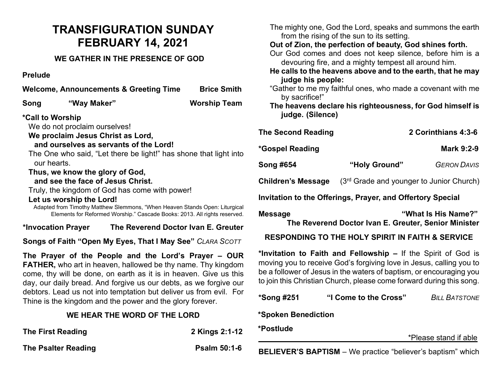# **TRANSFIGURATION SUNDAY FEBRUARY 14, 2021**

### **WE GATHER IN THE PRESENCE OF GOD**

#### **Prelude**

|                                                                   |                                 | Welcome, Announcements & Greeting Time                                    | <b>Brice Smith</b>                                                          |                |
|-------------------------------------------------------------------|---------------------------------|---------------------------------------------------------------------------|-----------------------------------------------------------------------------|----------------|
| Song                                                              | "Way Maker"                     |                                                                           | <b>Worship Team</b>                                                         |                |
| *Call to Worship                                                  |                                 |                                                                           |                                                                             |                |
|                                                                   | We do not proclaim ourselves!   |                                                                           |                                                                             | Τł             |
| We proclaim Jesus Christ as Lord,                                 |                                 |                                                                           |                                                                             |                |
|                                                                   |                                 | and ourselves as servants of the Lord!                                    |                                                                             | *C             |
| The One who said, "Let there be light!" has shone that light into |                                 |                                                                           |                                                                             |                |
| our hearts.                                                       |                                 |                                                                           |                                                                             | S <sub>0</sub> |
|                                                                   | Thus, we know the glory of God, |                                                                           |                                                                             |                |
| and see the face of Jesus Christ.                                 |                                 |                                                                           |                                                                             |                |
|                                                                   |                                 | Truly, the kingdom of God has come with power!                            |                                                                             |                |
|                                                                   | Let us worship the Lord!        |                                                                           |                                                                             | In             |
|                                                                   |                                 |                                                                           | Adapted from Timothy Matthew Slemmons, "When Heaven Stands Open: Liturgical |                |
|                                                                   |                                 | Elements for Reformed Worship." Cascade Books: 2013. All rights reserved. |                                                                             | M              |
|                                                                   | *Invocation Prayer              |                                                                           | The Reverend Doctor Ivan E. Greuter                                         |                |
| Songs of Faith "Open My Eyes, That I May See" CLARA SCOTT         |                                 |                                                                           |                                                                             |                |
|                                                                   |                                 |                                                                           |                                                                             |                |

**The Prayer of the People and the Lord's Prayer – OUR FATHER,** who art in heaven, hallowed be thy name. Thy kingdom come, thy will be done, on earth as it is in heaven. Give us this day, our daily bread. And forgive us our debts, as we forgive our debtors. Lead us not into temptation but deliver us from evil. For Thine is the kingdom and the power and the glory forever.

#### **WE HEAR THE WORD OF THE LORD**

| The First Reading   | 2 Kings 2:1-12      |
|---------------------|---------------------|
| The Psalter Reading | <b>Psalm 50:1-6</b> |

| The mighty one, God the Lord, speaks and summons the earth<br>from the rising of the sun to its setting.<br>Out of Zion, the perfection of beauty, God shines forth.<br>Our God comes and does not keep silence, before him is a<br>devouring fire, and a mighty tempest all around him.<br>He calls to the heavens above and to the earth, that he may<br>judge his people:<br>"Gather to me my faithful ones, who made a covenant with me<br>by sacrifice!"<br>The heavens declare his righteousness, for God himself is<br>judge. (Silence) |               |                                                      |  |  |  |  |
|------------------------------------------------------------------------------------------------------------------------------------------------------------------------------------------------------------------------------------------------------------------------------------------------------------------------------------------------------------------------------------------------------------------------------------------------------------------------------------------------------------------------------------------------|---------------|------------------------------------------------------|--|--|--|--|
| <b>The Second Reading</b>                                                                                                                                                                                                                                                                                                                                                                                                                                                                                                                      |               | 2 Corinthians 4:3-6                                  |  |  |  |  |
| *Gospel Reading                                                                                                                                                                                                                                                                                                                                                                                                                                                                                                                                |               | <b>Mark 9:2-9</b>                                    |  |  |  |  |
| Song #654                                                                                                                                                                                                                                                                                                                                                                                                                                                                                                                                      | "Holy Ground" | <b>GERON DAVIS</b>                                   |  |  |  |  |
| Children's Message                                                                                                                                                                                                                                                                                                                                                                                                                                                                                                                             |               | (3 <sup>rd</sup> Grade and younger to Junior Church) |  |  |  |  |
| Invitation to the Offerings, Prayer, and Offertory Special                                                                                                                                                                                                                                                                                                                                                                                                                                                                                     |               |                                                      |  |  |  |  |
| "What Is His Name?"<br>Message<br>The Reverend Doctor Ivan E. Greuter, Senior Minister                                                                                                                                                                                                                                                                                                                                                                                                                                                         |               |                                                      |  |  |  |  |

#### **RESPONDING TO THE HOLY SPIRIT IN FAITH & SERVICE**

**\*Invitation to Faith and Fellowship –** If the Spirit of God is moving you to receive God's forgiving love in Jesus, calling you to be a follower of Jesus in the waters of baptism, or encouraging you to join this Christian Church, please come forward during this song.

| *Song #251 | "I Come to the Cross" | <b>BILL BATSTONE</b> |
|------------|-----------------------|----------------------|
|------------|-----------------------|----------------------|

**\*Spoken Benediction** 

## **\*Postlude**

\*Please stand if able

**BELIEVER'S BAPTISM** – We practice "believer's baptism" which